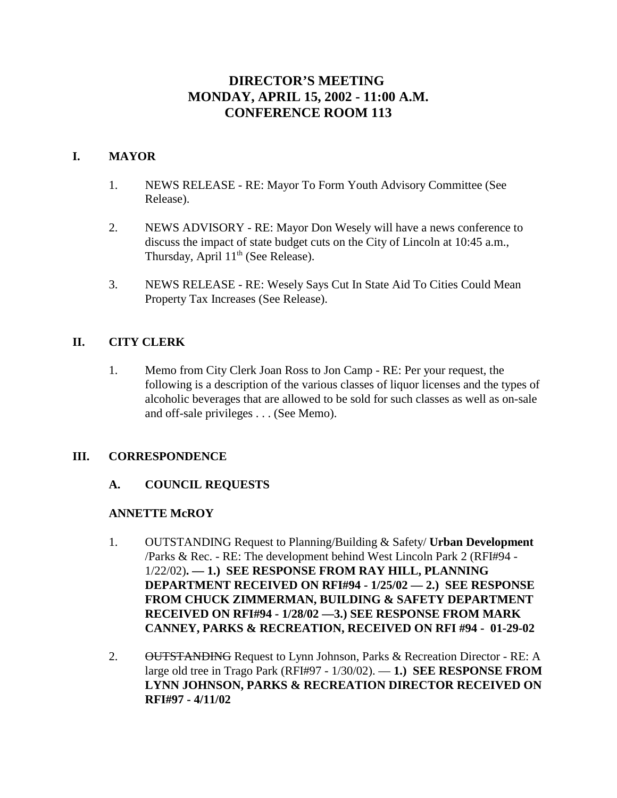# **DIRECTOR'S MEETING MONDAY, APRIL 15, 2002 - 11:00 A.M. CONFERENCE ROOM 113**

# **I. MAYOR**

- 1. NEWS RELEASE RE: Mayor To Form Youth Advisory Committee (See Release).
- 2. NEWS ADVISORY RE: Mayor Don Wesely will have a news conference to discuss the impact of state budget cuts on the City of Lincoln at 10:45 a.m., Thursday, April  $11<sup>th</sup>$  (See Release).
- 3. NEWS RELEASE RE: Wesely Says Cut In State Aid To Cities Could Mean Property Tax Increases (See Release).

# **II. CITY CLERK**

1. Memo from City Clerk Joan Ross to Jon Camp - RE: Per your request, the following is a description of the various classes of liquor licenses and the types of alcoholic beverages that are allowed to be sold for such classes as well as on-sale and off-sale privileges . . . (See Memo).

# **III. CORRESPONDENCE**

# **A. COUNCIL REQUESTS**

# **ANNETTE McROY**

- 1. OUTSTANDING Request to Planning/Building & Safety/ **Urban Development** /Parks & Rec. - RE: The development behind West Lincoln Park 2 (RFI#94 - 1/22/02)**. — 1.) SEE RESPONSE FROM RAY HILL, PLANNING DEPARTMENT RECEIVED ON RFI#94 - 1/25/02 — 2.) SEE RESPONSE FROM CHUCK ZIMMERMAN, BUILDING & SAFETY DEPARTMENT RECEIVED ON RFI#94 - 1/28/02 —3.) SEE RESPONSE FROM MARK CANNEY, PARKS & RECREATION, RECEIVED ON RFI #94 - 01-29-02**
- 2. OUTSTANDING Request to Lynn Johnson, Parks & Recreation Director RE: A large old tree in Trago Park (RFI#97 - 1/30/02). — **1.) SEE RESPONSE FROM LYNN JOHNSON, PARKS & RECREATION DIRECTOR RECEIVED ON RFI#97 - 4/11/02**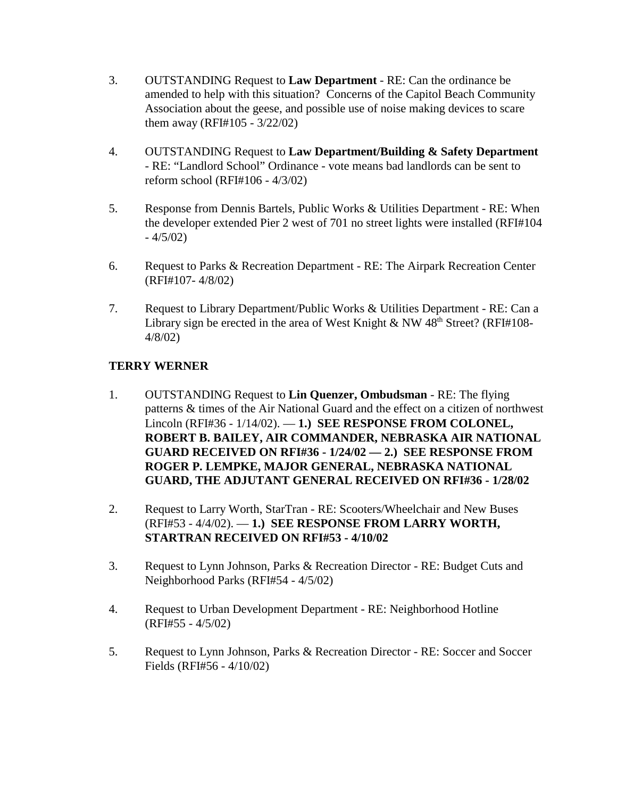- 3. OUTSTANDING Request to **Law Department** RE: Can the ordinance be amended to help with this situation? Concerns of the Capitol Beach Community Association about the geese, and possible use of noise making devices to scare them away (RFI#105 - 3/22/02)
- 4. OUTSTANDING Request to **Law Department/Building & Safety Department** - RE: "Landlord School" Ordinance - vote means bad landlords can be sent to reform school (RFI#106 - 4/3/02)
- 5. Response from Dennis Bartels, Public Works & Utilities Department RE: When the developer extended Pier 2 west of 701 no street lights were installed (RFI#104  $-4/5/02$
- 6. Request to Parks & Recreation Department RE: The Airpark Recreation Center (RFI#107- 4/8/02)
- 7. Request to Library Department/Public Works & Utilities Department RE: Can a Library sign be erected in the area of West Knight & NW  $48<sup>th</sup>$  Street? (RFI#108-4/8/02)

# **TERRY WERNER**

- 1. OUTSTANDING Request to **Lin Quenzer, Ombudsman** RE: The flying patterns & times of the Air National Guard and the effect on a citizen of northwest Lincoln (RFI#36 - 1/14/02). — **1.) SEE RESPONSE FROM COLONEL, ROBERT B. BAILEY, AIR COMMANDER, NEBRASKA AIR NATIONAL GUARD RECEIVED ON RFI#36 - 1/24/02 — 2.) SEE RESPONSE FROM ROGER P. LEMPKE, MAJOR GENERAL, NEBRASKA NATIONAL GUARD, THE ADJUTANT GENERAL RECEIVED ON RFI#36 - 1/28/02**
- 2. Request to Larry Worth, StarTran RE: Scooters/Wheelchair and New Buses (RFI#53 - 4/4/02). — **1.) SEE RESPONSE FROM LARRY WORTH, STARTRAN RECEIVED ON RFI#53 - 4/10/02**
- 3. Request to Lynn Johnson, Parks & Recreation Director RE: Budget Cuts and Neighborhood Parks (RFI#54 - 4/5/02)
- 4. Request to Urban Development Department RE: Neighborhood Hotline (RFI#55 - 4/5/02)
- 5. Request to Lynn Johnson, Parks & Recreation Director RE: Soccer and Soccer Fields (RFI#56 - 4/10/02)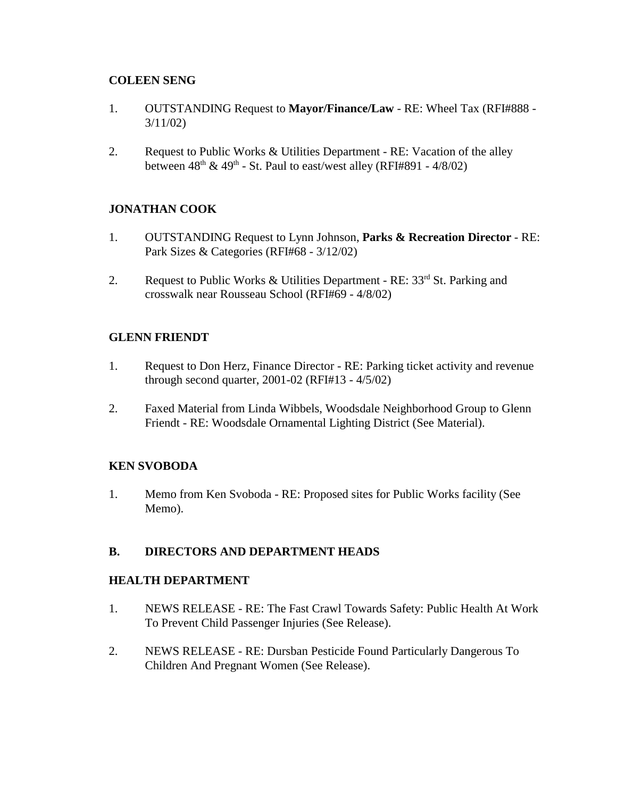# **COLEEN SENG**

- 1. OUTSTANDING Request to **Mayor/Finance/Law** RE: Wheel Tax (RFI#888 3/11/02)
- 2. Request to Public Works & Utilities Department RE: Vacation of the alley between  $48<sup>th</sup> \& 49<sup>th</sup>$  - St. Paul to east/west alley (RFI#891 - 4/8/02)

# **JONATHAN COOK**

- 1. OUTSTANDING Request to Lynn Johnson, **Parks & Recreation Director** RE: Park Sizes & Categories (RFI#68 - 3/12/02)
- 2. Request to Public Works & Utilities Department RE:  $33<sup>rd</sup>$  St. Parking and crosswalk near Rousseau School (RFI#69 - 4/8/02)

## **GLENN FRIENDT**

- 1. Request to Don Herz, Finance Director RE: Parking ticket activity and revenue through second quarter, 2001-02 (RFI#13 - 4/5/02)
- 2. Faxed Material from Linda Wibbels, Woodsdale Neighborhood Group to Glenn Friendt - RE: Woodsdale Ornamental Lighting District (See Material).

## **KEN SVOBODA**

1. Memo from Ken Svoboda - RE: Proposed sites for Public Works facility (See Memo).

# **B. DIRECTORS AND DEPARTMENT HEADS**

## **HEALTH DEPARTMENT**

- 1. NEWS RELEASE RE: The Fast Crawl Towards Safety: Public Health At Work To Prevent Child Passenger Injuries (See Release).
- 2. NEWS RELEASE RE: Dursban Pesticide Found Particularly Dangerous To Children And Pregnant Women (See Release).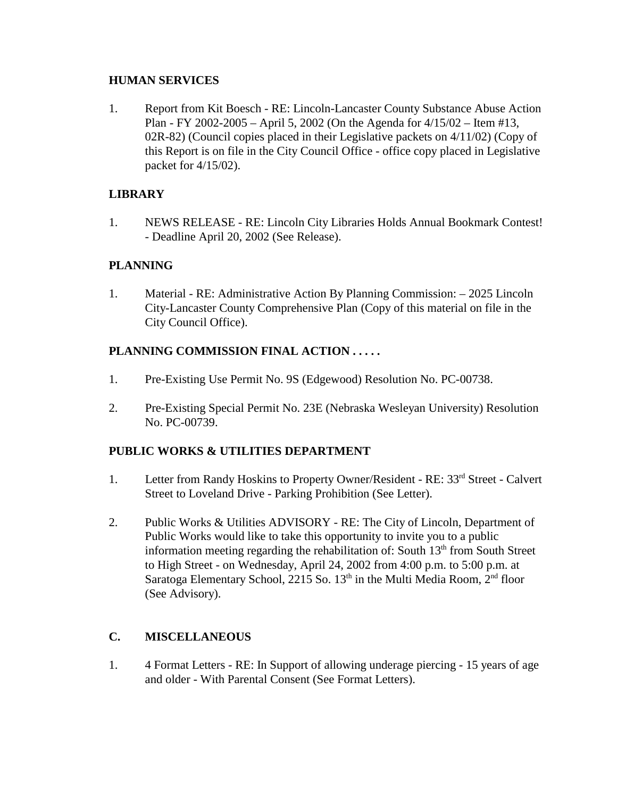## **HUMAN SERVICES**

1. Report from Kit Boesch - RE: Lincoln-Lancaster County Substance Abuse Action Plan - FY 2002-2005 – April 5, 2002 (On the Agenda for 4/15/02 – Item #13, 02R-82) (Council copies placed in their Legislative packets on  $4/11/02$ ) (Copy of this Report is on file in the City Council Office - office copy placed in Legislative packet for 4/15/02).

# **LIBRARY**

1. NEWS RELEASE - RE: Lincoln City Libraries Holds Annual Bookmark Contest! - Deadline April 20, 2002 (See Release).

# **PLANNING**

1. Material - RE: Administrative Action By Planning Commission: – 2025 Lincoln City-Lancaster County Comprehensive Plan (Copy of this material on file in the City Council Office).

# **PLANNING COMMISSION FINAL ACTION . . . . .**

- 1. Pre-Existing Use Permit No. 9S (Edgewood) Resolution No. PC-00738.
- 2. Pre-Existing Special Permit No. 23E (Nebraska Wesleyan University) Resolution No. PC-00739.

# **PUBLIC WORKS & UTILITIES DEPARTMENT**

- 1. Letter from Randy Hoskins to Property Owner/Resident RE: 33rd Street Calvert Street to Loveland Drive - Parking Prohibition (See Letter).
- 2. Public Works & Utilities ADVISORY RE: The City of Lincoln, Department of Public Works would like to take this opportunity to invite you to a public information meeting regarding the rehabilitation of: South  $13<sup>th</sup>$  from South Street to High Street - on Wednesday, April 24, 2002 from 4:00 p.m. to 5:00 p.m. at Saratoga Elementary School, 2215 So.  $13<sup>th</sup>$  in the Multi Media Room,  $2<sup>nd</sup>$  floor (See Advisory).

# **C. MISCELLANEOUS**

1. 4 Format Letters - RE: In Support of allowing underage piercing - 15 years of age and older - With Parental Consent (See Format Letters).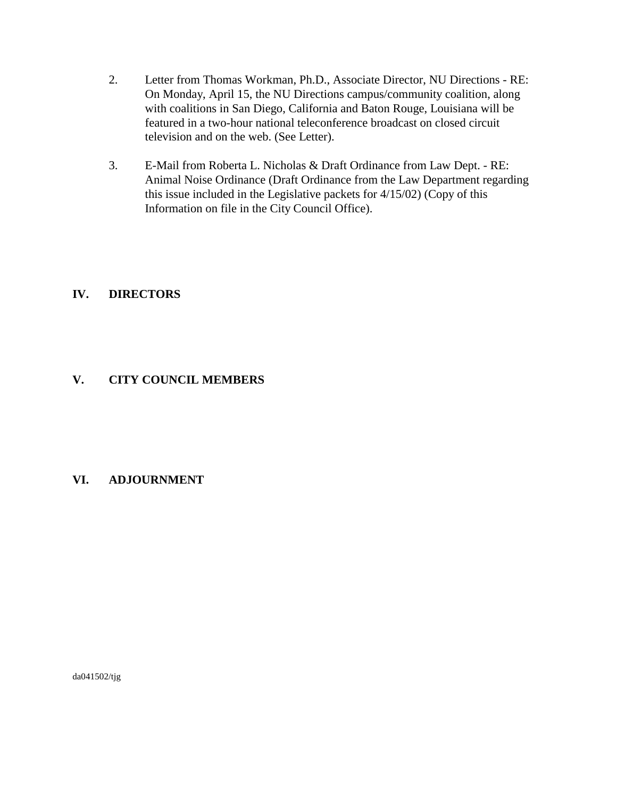- 2. Letter from Thomas Workman, Ph.D., Associate Director, NU Directions RE: On Monday, April 15, the NU Directions campus/community coalition, along with coalitions in San Diego, California and Baton Rouge, Louisiana will be featured in a two-hour national teleconference broadcast on closed circuit television and on the web. (See Letter).
- 3. E-Mail from Roberta L. Nicholas & Draft Ordinance from Law Dept. RE: Animal Noise Ordinance (Draft Ordinance from the Law Department regarding this issue included in the Legislative packets for 4/15/02) (Copy of this Information on file in the City Council Office).

# **IV. DIRECTORS**

# **V. CITY COUNCIL MEMBERS**

# **VI. ADJOURNMENT**

da041502/tjg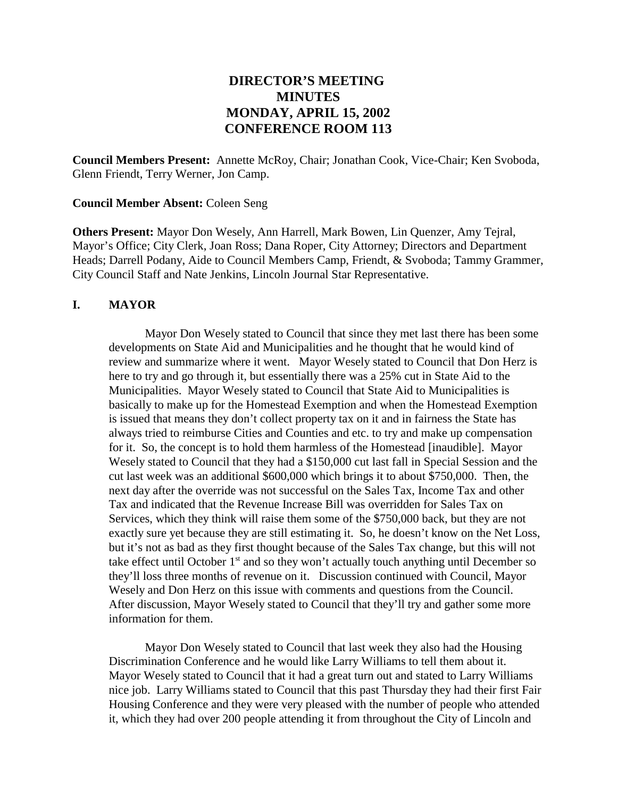# **DIRECTOR'S MEETING MINUTES MONDAY, APRIL 15, 2002 CONFERENCE ROOM 113**

**Council Members Present:** Annette McRoy, Chair; Jonathan Cook, Vice-Chair; Ken Svoboda, Glenn Friendt, Terry Werner, Jon Camp.

#### **Council Member Absent:** Coleen Seng

**Others Present:** Mayor Don Wesely, Ann Harrell, Mark Bowen, Lin Quenzer, Amy Tejral, Mayor's Office; City Clerk, Joan Ross; Dana Roper, City Attorney; Directors and Department Heads; Darrell Podany, Aide to Council Members Camp, Friendt, & Svoboda; Tammy Grammer, City Council Staff and Nate Jenkins, Lincoln Journal Star Representative.

#### **I. MAYOR**

Mayor Don Wesely stated to Council that since they met last there has been some developments on State Aid and Municipalities and he thought that he would kind of review and summarize where it went. Mayor Wesely stated to Council that Don Herz is here to try and go through it, but essentially there was a 25% cut in State Aid to the Municipalities. Mayor Wesely stated to Council that State Aid to Municipalities is basically to make up for the Homestead Exemption and when the Homestead Exemption is issued that means they don't collect property tax on it and in fairness the State has always tried to reimburse Cities and Counties and etc. to try and make up compensation for it. So, the concept is to hold them harmless of the Homestead [inaudible]. Mayor Wesely stated to Council that they had a \$150,000 cut last fall in Special Session and the cut last week was an additional \$600,000 which brings it to about \$750,000. Then, the next day after the override was not successful on the Sales Tax, Income Tax and other Tax and indicated that the Revenue Increase Bill was overridden for Sales Tax on Services, which they think will raise them some of the \$750,000 back, but they are not exactly sure yet because they are still estimating it. So, he doesn't know on the Net Loss, but it's not as bad as they first thought because of the Sales Tax change, but this will not take effect until October  $1<sup>st</sup>$  and so they won't actually touch anything until December so they'll loss three months of revenue on it. Discussion continued with Council, Mayor Wesely and Don Herz on this issue with comments and questions from the Council. After discussion, Mayor Wesely stated to Council that they'll try and gather some more information for them.

Mayor Don Wesely stated to Council that last week they also had the Housing Discrimination Conference and he would like Larry Williams to tell them about it. Mayor Wesely stated to Council that it had a great turn out and stated to Larry Williams nice job. Larry Williams stated to Council that this past Thursday they had their first Fair Housing Conference and they were very pleased with the number of people who attended it, which they had over 200 people attending it from throughout the City of Lincoln and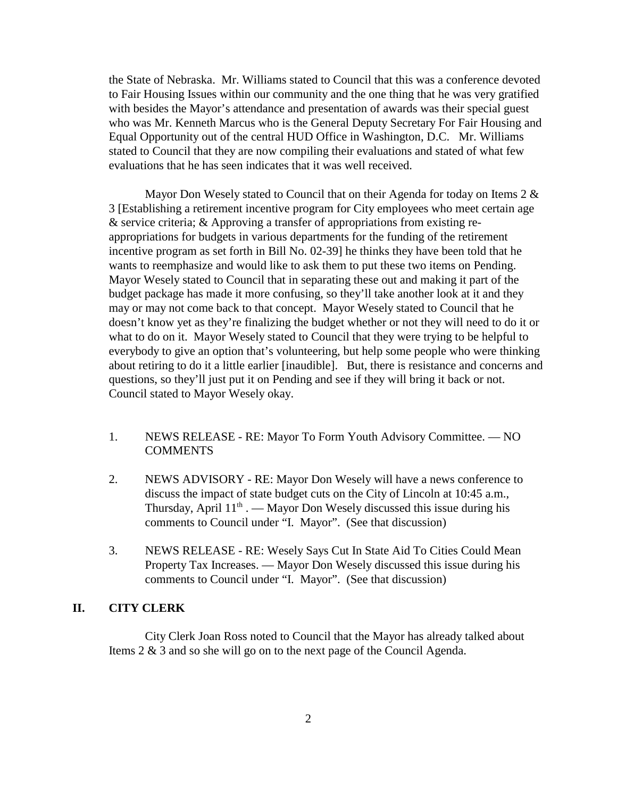the State of Nebraska. Mr. Williams stated to Council that this was a conference devoted to Fair Housing Issues within our community and the one thing that he was very gratified with besides the Mayor's attendance and presentation of awards was their special guest who was Mr. Kenneth Marcus who is the General Deputy Secretary For Fair Housing and Equal Opportunity out of the central HUD Office in Washington, D.C. Mr. Williams stated to Council that they are now compiling their evaluations and stated of what few evaluations that he has seen indicates that it was well received.

Mayor Don Wesely stated to Council that on their Agenda for today on Items 2 & 3 [Establishing a retirement incentive program for City employees who meet certain age & service criteria; & Approving a transfer of appropriations from existing reappropriations for budgets in various departments for the funding of the retirement incentive program as set forth in Bill No. 02-39] he thinks they have been told that he wants to reemphasize and would like to ask them to put these two items on Pending. Mayor Wesely stated to Council that in separating these out and making it part of the budget package has made it more confusing, so they'll take another look at it and they may or may not come back to that concept. Mayor Wesely stated to Council that he doesn't know yet as they're finalizing the budget whether or not they will need to do it or what to do on it. Mayor Wesely stated to Council that they were trying to be helpful to everybody to give an option that's volunteering, but help some people who were thinking about retiring to do it a little earlier [inaudible]. But, there is resistance and concerns and questions, so they'll just put it on Pending and see if they will bring it back or not. Council stated to Mayor Wesely okay.

- 1. NEWS RELEASE RE: Mayor To Form Youth Advisory Committee. NO **COMMENTS**
- 2. NEWS ADVISORY RE: Mayor Don Wesely will have a news conference to discuss the impact of state budget cuts on the City of Lincoln at 10:45 a.m., Thursday, April  $11<sup>th</sup>$ . — Mayor Don Wesely discussed this issue during his comments to Council under "I. Mayor". (See that discussion)
- 3. NEWS RELEASE RE: Wesely Says Cut In State Aid To Cities Could Mean Property Tax Increases. — Mayor Don Wesely discussed this issue during his comments to Council under "I. Mayor". (See that discussion)

#### **II. CITY CLERK**

City Clerk Joan Ross noted to Council that the Mayor has already talked about Items 2 & 3 and so she will go on to the next page of the Council Agenda.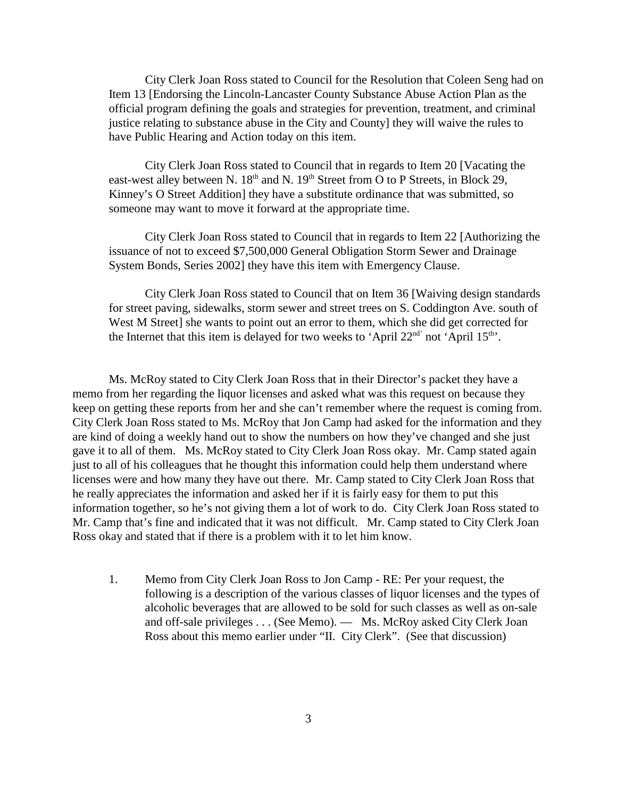City Clerk Joan Ross stated to Council for the Resolution that Coleen Seng had on Item 13 [Endorsing the Lincoln-Lancaster County Substance Abuse Action Plan as the official program defining the goals and strategies for prevention, treatment, and criminal justice relating to substance abuse in the City and County] they will waive the rules to have Public Hearing and Action today on this item.

City Clerk Joan Ross stated to Council that in regards to Item 20 [Vacating the east-west alley between N.  $18<sup>th</sup>$  and N.  $19<sup>th</sup>$  Street from O to P Streets, in Block 29, Kinney's O Street Addition] they have a substitute ordinance that was submitted, so someone may want to move it forward at the appropriate time.

City Clerk Joan Ross stated to Council that in regards to Item 22 [Authorizing the issuance of not to exceed \$7,500,000 General Obligation Storm Sewer and Drainage System Bonds, Series 2002] they have this item with Emergency Clause.

City Clerk Joan Ross stated to Council that on Item 36 [Waiving design standards for street paving, sidewalks, storm sewer and street trees on S. Coddington Ave. south of West M Street] she wants to point out an error to them, which she did get corrected for the Internet that this item is delayed for two weeks to 'April  $22<sup>nd</sup>$  not 'April  $15<sup>th</sup>$ '.

Ms. McRoy stated to City Clerk Joan Ross that in their Director's packet they have a memo from her regarding the liquor licenses and asked what was this request on because they keep on getting these reports from her and she can't remember where the request is coming from. City Clerk Joan Ross stated to Ms. McRoy that Jon Camp had asked for the information and they are kind of doing a weekly hand out to show the numbers on how they've changed and she just gave it to all of them. Ms. McRoy stated to City Clerk Joan Ross okay. Mr. Camp stated again just to all of his colleagues that he thought this information could help them understand where licenses were and how many they have out there. Mr. Camp stated to City Clerk Joan Ross that he really appreciates the information and asked her if it is fairly easy for them to put this information together, so he's not giving them a lot of work to do. City Clerk Joan Ross stated to Mr. Camp that's fine and indicated that it was not difficult. Mr. Camp stated to City Clerk Joan Ross okay and stated that if there is a problem with it to let him know.

1. Memo from City Clerk Joan Ross to Jon Camp - RE: Per your request, the following is a description of the various classes of liquor licenses and the types of alcoholic beverages that are allowed to be sold for such classes as well as on-sale and off-sale privileges . . . (See Memo). — Ms. McRoy asked City Clerk Joan Ross about this memo earlier under "II. City Clerk". (See that discussion)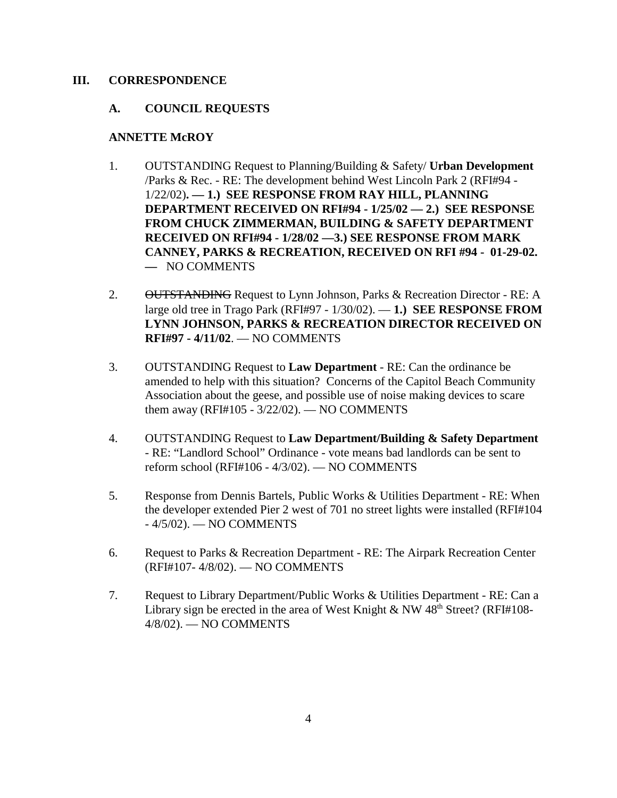#### **III. CORRESPONDENCE**

#### **A. COUNCIL REQUESTS**

#### **ANNETTE McROY**

- 1. OUTSTANDING Request to Planning/Building & Safety/ **Urban Development** /Parks & Rec. - RE: The development behind West Lincoln Park 2 (RFI#94 - 1/22/02)**. — 1.) SEE RESPONSE FROM RAY HILL, PLANNING DEPARTMENT RECEIVED ON RFI#94 - 1/25/02 — 2.) SEE RESPONSE FROM CHUCK ZIMMERMAN, BUILDING & SAFETY DEPARTMENT RECEIVED ON RFI#94 - 1/28/02 —3.) SEE RESPONSE FROM MARK CANNEY, PARKS & RECREATION, RECEIVED ON RFI #94 - 01-29-02. —** NO COMMENTS
- 2. OUTSTANDING Request to Lynn Johnson, Parks & Recreation Director RE: A large old tree in Trago Park (RFI#97 - 1/30/02). — **1.) SEE RESPONSE FROM LYNN JOHNSON, PARKS & RECREATION DIRECTOR RECEIVED ON RFI#97 - 4/11/02**. — NO COMMENTS
- 3. OUTSTANDING Request to **Law Department** RE: Can the ordinance be amended to help with this situation? Concerns of the Capitol Beach Community Association about the geese, and possible use of noise making devices to scare them away (RFI#105 - 3/22/02). — NO COMMENTS
- 4. OUTSTANDING Request to **Law Department/Building & Safety Department** - RE: "Landlord School" Ordinance - vote means bad landlords can be sent to reform school (RFI#106 - 4/3/02). — NO COMMENTS
- 5. Response from Dennis Bartels, Public Works & Utilities Department RE: When the developer extended Pier 2 west of 701 no street lights were installed (RFI#104 - 4/5/02). — NO COMMENTS
- 6. Request to Parks & Recreation Department RE: The Airpark Recreation Center (RFI#107- 4/8/02). — NO COMMENTS
- 7. Request to Library Department/Public Works & Utilities Department RE: Can a Library sign be erected in the area of West Knight & NW  $48<sup>th</sup>$  Street? (RFI#108-4/8/02). — NO COMMENTS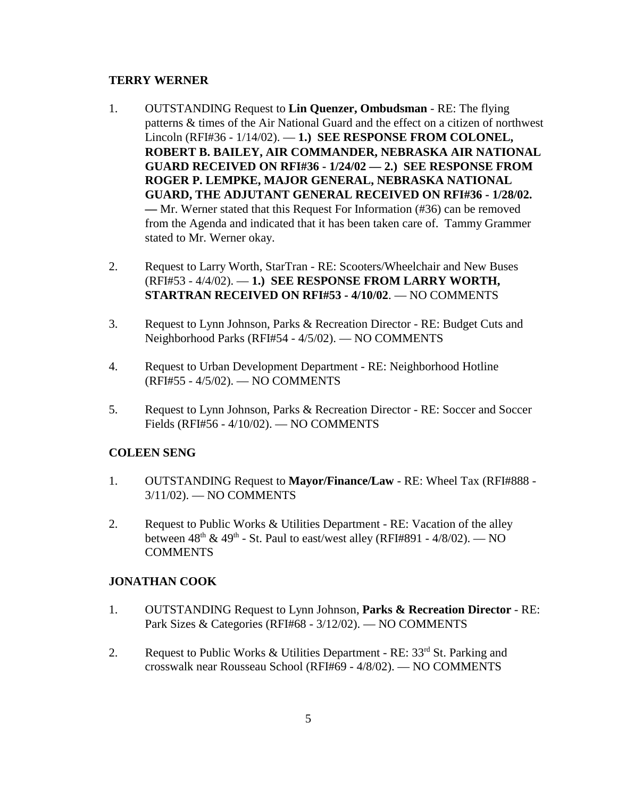#### **TERRY WERNER**

- 1. OUTSTANDING Request to **Lin Quenzer, Ombudsman** RE: The flying patterns & times of the Air National Guard and the effect on a citizen of northwest Lincoln (RFI#36 - 1/14/02). — **1.) SEE RESPONSE FROM COLONEL, ROBERT B. BAILEY, AIR COMMANDER, NEBRASKA AIR NATIONAL GUARD RECEIVED ON RFI#36 - 1/24/02 — 2.) SEE RESPONSE FROM ROGER P. LEMPKE, MAJOR GENERAL, NEBRASKA NATIONAL GUARD, THE ADJUTANT GENERAL RECEIVED ON RFI#36 - 1/28/02. —** Mr. Werner stated that this Request For Information (#36) can be removed from the Agenda and indicated that it has been taken care of. Tammy Grammer stated to Mr. Werner okay.
- 2. Request to Larry Worth, StarTran RE: Scooters/Wheelchair and New Buses (RFI#53 - 4/4/02). — **1.) SEE RESPONSE FROM LARRY WORTH, STARTRAN RECEIVED ON RFI#53 - 4/10/02**. — NO COMMENTS
- 3. Request to Lynn Johnson, Parks & Recreation Director RE: Budget Cuts and Neighborhood Parks (RFI#54 - 4/5/02). — NO COMMENTS
- 4. Request to Urban Development Department RE: Neighborhood Hotline (RFI#55 - 4/5/02). — NO COMMENTS
- 5. Request to Lynn Johnson, Parks & Recreation Director RE: Soccer and Soccer Fields (RFI#56 - 4/10/02). — NO COMMENTS

## **COLEEN SENG**

- 1. OUTSTANDING Request to **Mayor/Finance/Law** RE: Wheel Tax (RFI#888 3/11/02). — NO COMMENTS
- 2. Request to Public Works & Utilities Department RE: Vacation of the alley between  $48<sup>th</sup> \& 49<sup>th</sup>$  - St. Paul to east/west alley (RFI#891 - 4/8/02). — NO COMMENTS

## **JONATHAN COOK**

- 1. OUTSTANDING Request to Lynn Johnson, **Parks & Recreation Director** RE: Park Sizes & Categories (RFI#68 - 3/12/02). — NO COMMENTS
- 2. Request to Public Works & Utilities Department RE:  $33<sup>rd</sup>$  St. Parking and crosswalk near Rousseau School (RFI#69 - 4/8/02). — NO COMMENTS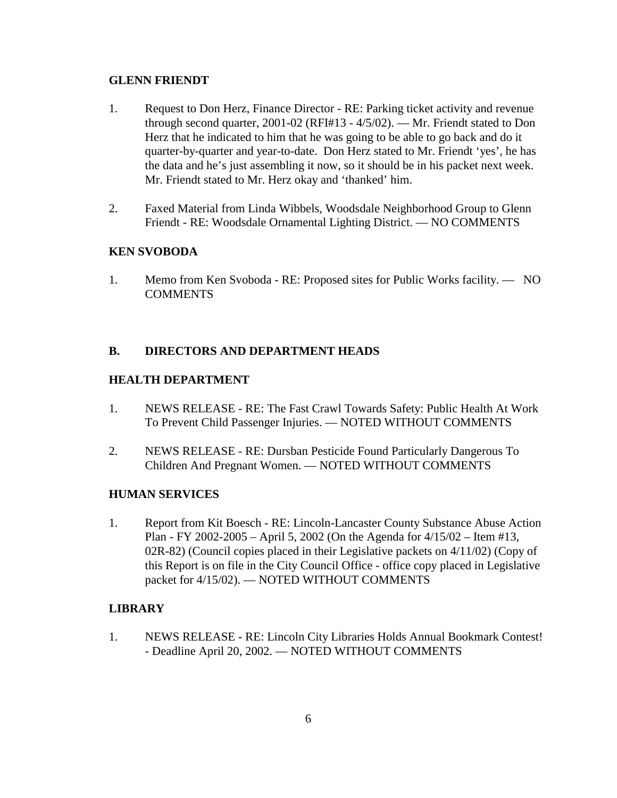## **GLENN FRIENDT**

- 1. Request to Don Herz, Finance Director RE: Parking ticket activity and revenue through second quarter, 2001-02 (RFI#13 - 4/5/02). — Mr. Friendt stated to Don Herz that he indicated to him that he was going to be able to go back and do it quarter-by-quarter and year-to-date. Don Herz stated to Mr. Friendt 'yes', he has the data and he's just assembling it now, so it should be in his packet next week. Mr. Friendt stated to Mr. Herz okay and 'thanked' him.
- 2. Faxed Material from Linda Wibbels, Woodsdale Neighborhood Group to Glenn Friendt - RE: Woodsdale Ornamental Lighting District. — NO COMMENTS

## **KEN SVOBODA**

1. Memo from Ken Svoboda - RE: Proposed sites for Public Works facility. — NO **COMMENTS** 

## **B. DIRECTORS AND DEPARTMENT HEADS**

## **HEALTH DEPARTMENT**

- 1. NEWS RELEASE RE: The Fast Crawl Towards Safety: Public Health At Work To Prevent Child Passenger Injuries. — NOTED WITHOUT COMMENTS
- 2. NEWS RELEASE RE: Dursban Pesticide Found Particularly Dangerous To Children And Pregnant Women. — NOTED WITHOUT COMMENTS

## **HUMAN SERVICES**

1. Report from Kit Boesch - RE: Lincoln-Lancaster County Substance Abuse Action Plan - FY 2002-2005 – April 5, 2002 (On the Agenda for 4/15/02 – Item #13, 02R-82) (Council copies placed in their Legislative packets on  $4/11/02$ ) (Copy of this Report is on file in the City Council Office - office copy placed in Legislative packet for 4/15/02). — NOTED WITHOUT COMMENTS

## **LIBRARY**

1. NEWS RELEASE - RE: Lincoln City Libraries Holds Annual Bookmark Contest! - Deadline April 20, 2002. — NOTED WITHOUT COMMENTS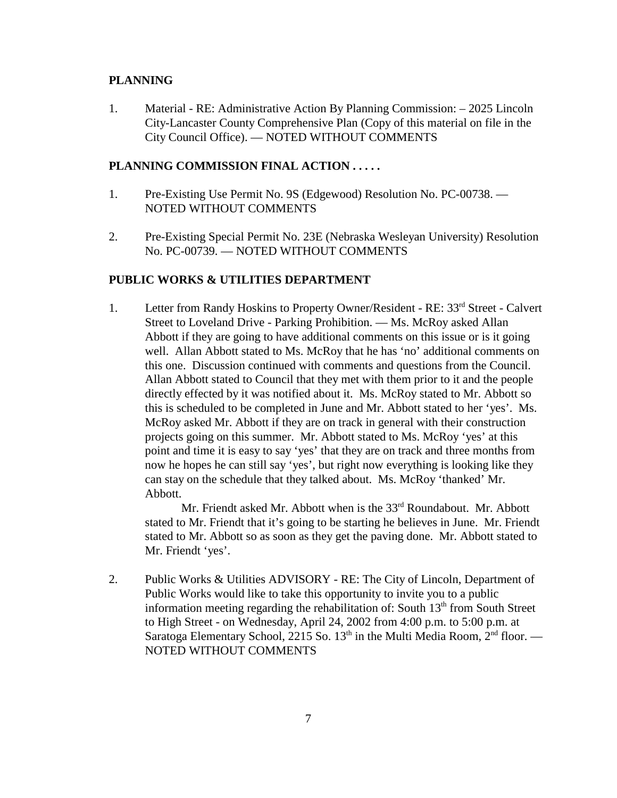#### **PLANNING**

1. Material - RE: Administrative Action By Planning Commission: – 2025 Lincoln City-Lancaster County Comprehensive Plan (Copy of this material on file in the City Council Office). — NOTED WITHOUT COMMENTS

## **PLANNING COMMISSION FINAL ACTION . . . . .**

- 1. Pre-Existing Use Permit No. 9S (Edgewood) Resolution No. PC-00738. NOTED WITHOUT COMMENTS
- 2. Pre-Existing Special Permit No. 23E (Nebraska Wesleyan University) Resolution No. PC-00739. — NOTED WITHOUT COMMENTS

#### **PUBLIC WORKS & UTILITIES DEPARTMENT**

1. Letter from Randy Hoskins to Property Owner/Resident - RE: 33rd Street - Calvert Street to Loveland Drive - Parking Prohibition. — Ms. McRoy asked Allan Abbott if they are going to have additional comments on this issue or is it going well. Allan Abbott stated to Ms. McRoy that he has 'no' additional comments on this one. Discussion continued with comments and questions from the Council. Allan Abbott stated to Council that they met with them prior to it and the people directly effected by it was notified about it. Ms. McRoy stated to Mr. Abbott so this is scheduled to be completed in June and Mr. Abbott stated to her 'yes'. Ms. McRoy asked Mr. Abbott if they are on track in general with their construction projects going on this summer. Mr. Abbott stated to Ms. McRoy 'yes' at this point and time it is easy to say 'yes' that they are on track and three months from now he hopes he can still say 'yes', but right now everything is looking like they can stay on the schedule that they talked about. Ms. McRoy 'thanked' Mr. Abbott.

Mr. Friendt asked Mr. Abbott when is the 33<sup>rd</sup> Roundabout. Mr. Abbott stated to Mr. Friendt that it's going to be starting he believes in June. Mr. Friendt stated to Mr. Abbott so as soon as they get the paving done. Mr. Abbott stated to Mr. Friendt 'yes'.

2. Public Works & Utilities ADVISORY - RE: The City of Lincoln, Department of Public Works would like to take this opportunity to invite you to a public information meeting regarding the rehabilitation of: South  $13<sup>th</sup>$  from South Street to High Street - on Wednesday, April 24, 2002 from 4:00 p.m. to 5:00 p.m. at Saratoga Elementary School, 2215 So.  $13<sup>th</sup>$  in the Multi Media Room,  $2<sup>nd</sup>$  floor. — NOTED WITHOUT COMMENTS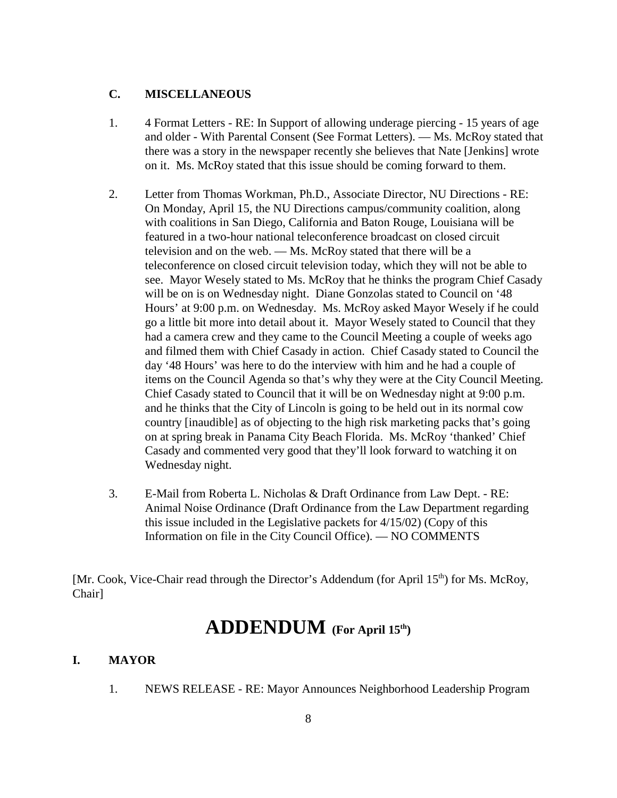## **C. MISCELLANEOUS**

- 1. 4 Format Letters RE: In Support of allowing underage piercing 15 years of age and older - With Parental Consent (See Format Letters). — Ms. McRoy stated that there was a story in the newspaper recently she believes that Nate [Jenkins] wrote on it. Ms. McRoy stated that this issue should be coming forward to them.
- 2. Letter from Thomas Workman, Ph.D., Associate Director, NU Directions RE: On Monday, April 15, the NU Directions campus/community coalition, along with coalitions in San Diego, California and Baton Rouge, Louisiana will be featured in a two-hour national teleconference broadcast on closed circuit television and on the web. — Ms. McRoy stated that there will be a teleconference on closed circuit television today, which they will not be able to see. Mayor Wesely stated to Ms. McRoy that he thinks the program Chief Casady will be on is on Wednesday night. Diane Gonzolas stated to Council on '48 Hours' at 9:00 p.m. on Wednesday. Ms. McRoy asked Mayor Wesely if he could go a little bit more into detail about it. Mayor Wesely stated to Council that they had a camera crew and they came to the Council Meeting a couple of weeks ago and filmed them with Chief Casady in action. Chief Casady stated to Council the day '48 Hours' was here to do the interview with him and he had a couple of items on the Council Agenda so that's why they were at the City Council Meeting. Chief Casady stated to Council that it will be on Wednesday night at 9:00 p.m. and he thinks that the City of Lincoln is going to be held out in its normal cow country [inaudible] as of objecting to the high risk marketing packs that's going on at spring break in Panama City Beach Florida. Ms. McRoy 'thanked' Chief Casady and commented very good that they'll look forward to watching it on Wednesday night.
- 3. E-Mail from Roberta L. Nicholas & Draft Ordinance from Law Dept. RE: Animal Noise Ordinance (Draft Ordinance from the Law Department regarding this issue included in the Legislative packets for 4/15/02) (Copy of this Information on file in the City Council Office). — NO COMMENTS

[Mr. Cook, Vice-Chair read through the Director's Addendum (for April 15<sup>th</sup>) for Ms. McRoy, Chair]

# **ADDENDUM (For April 15th)**

#### **I. MAYOR**

1. NEWS RELEASE - RE: Mayor Announces Neighborhood Leadership Program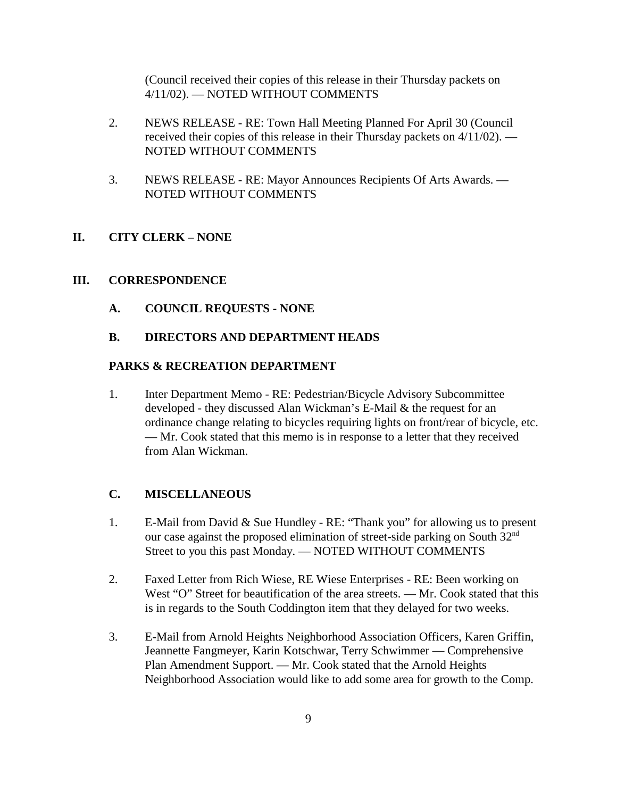(Council received their copies of this release in their Thursday packets on 4/11/02). — NOTED WITHOUT COMMENTS

- 2. NEWS RELEASE RE: Town Hall Meeting Planned For April 30 (Council received their copies of this release in their Thursday packets on 4/11/02). — NOTED WITHOUT COMMENTS
- 3. NEWS RELEASE RE: Mayor Announces Recipients Of Arts Awards. NOTED WITHOUT COMMENTS

## **II. CITY CLERK – NONE**

## **III. CORRESPONDENCE**

**A. COUNCIL REQUESTS - NONE**

## **B. DIRECTORS AND DEPARTMENT HEADS**

## **PARKS & RECREATION DEPARTMENT**

1. Inter Department Memo - RE: Pedestrian/Bicycle Advisory Subcommittee developed - they discussed Alan Wickman's E-Mail & the request for an ordinance change relating to bicycles requiring lights on front/rear of bicycle, etc. — Mr. Cook stated that this memo is in response to a letter that they received from Alan Wickman.

## **C. MISCELLANEOUS**

- 1. E-Mail from David & Sue Hundley RE: "Thank you" for allowing us to present our case against the proposed elimination of street-side parking on South 32nd Street to you this past Monday. — NOTED WITHOUT COMMENTS
- 2. Faxed Letter from Rich Wiese, RE Wiese Enterprises RE: Been working on West "O" Street for beautification of the area streets. — Mr. Cook stated that this is in regards to the South Coddington item that they delayed for two weeks.
- 3. E-Mail from Arnold Heights Neighborhood Association Officers, Karen Griffin, Jeannette Fangmeyer, Karin Kotschwar, Terry Schwimmer — Comprehensive Plan Amendment Support. — Mr. Cook stated that the Arnold Heights Neighborhood Association would like to add some area for growth to the Comp.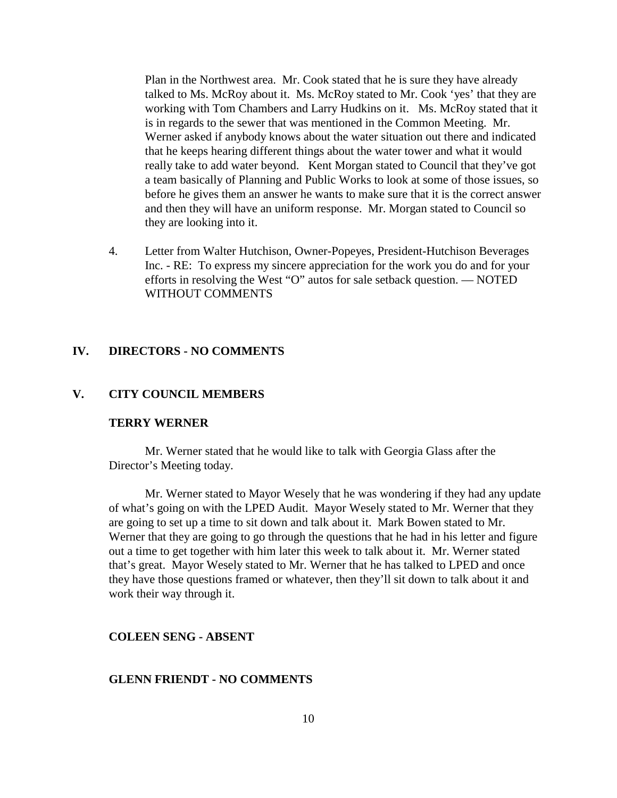Plan in the Northwest area. Mr. Cook stated that he is sure they have already talked to Ms. McRoy about it. Ms. McRoy stated to Mr. Cook 'yes' that they are working with Tom Chambers and Larry Hudkins on it. Ms. McRoy stated that it is in regards to the sewer that was mentioned in the Common Meeting. Mr. Werner asked if anybody knows about the water situation out there and indicated that he keeps hearing different things about the water tower and what it would really take to add water beyond. Kent Morgan stated to Council that they've got a team basically of Planning and Public Works to look at some of those issues, so before he gives them an answer he wants to make sure that it is the correct answer and then they will have an uniform response. Mr. Morgan stated to Council so they are looking into it.

4. Letter from Walter Hutchison, Owner-Popeyes, President-Hutchison Beverages Inc. - RE: To express my sincere appreciation for the work you do and for your efforts in resolving the West "O" autos for sale setback question. — NOTED WITHOUT COMMENTS

#### **IV. DIRECTORS - NO COMMENTS**

## **V. CITY COUNCIL MEMBERS**

#### **TERRY WERNER**

Mr. Werner stated that he would like to talk with Georgia Glass after the Director's Meeting today.

Mr. Werner stated to Mayor Wesely that he was wondering if they had any update of what's going on with the LPED Audit. Mayor Wesely stated to Mr. Werner that they are going to set up a time to sit down and talk about it. Mark Bowen stated to Mr. Werner that they are going to go through the questions that he had in his letter and figure out a time to get together with him later this week to talk about it. Mr. Werner stated that's great. Mayor Wesely stated to Mr. Werner that he has talked to LPED and once they have those questions framed or whatever, then they'll sit down to talk about it and work their way through it.

#### **COLEEN SENG - ABSENT**

#### **GLENN FRIENDT - NO COMMENTS**